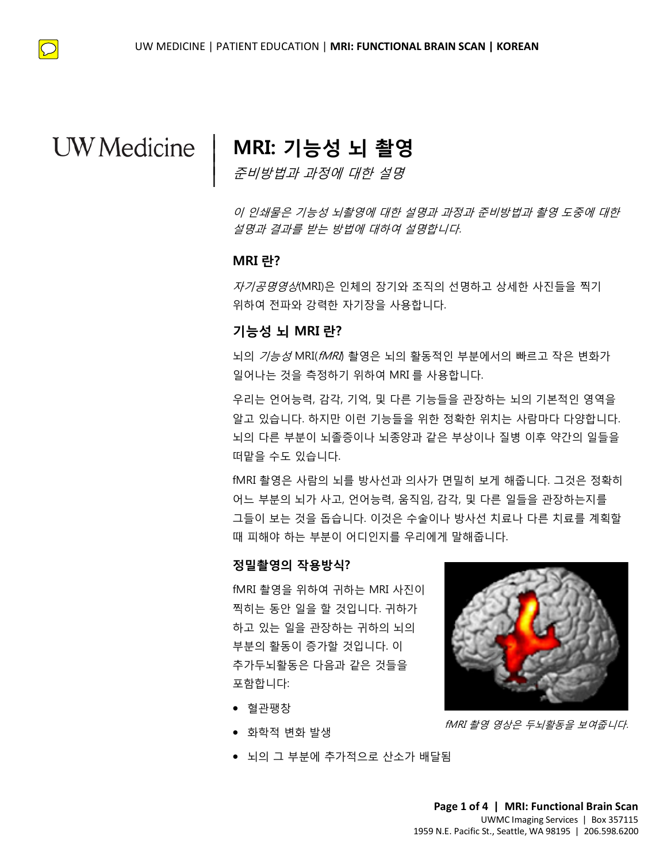# **MRI: 기능성 뇌 촬영** |

준비방법과 과정에 대한 설명

이 인쇄물은 기능성 뇌촬영에 대한 설명과 과정과 준비방법과 촬영 도중에 대한 설명과 결과를 받는 방법에 대하여 설명합니다.

### **MRI 란?**

 $\vert$  $\vert$  $\vert$ 

TRANSLATION 자기공명영상(MRI)은 인체의 장기와 조직의 선명하고 상세한 사진들을 찍기 위하여 전파와 강력한 자기장을 사용합니다.

### **기능성 뇌 MRI 란?**

뇌의 *기능성* MRI(*fMRI*) 촬영은 뇌의 활동적인 부분에서의 빠르고 작은 변화가 일어나는 것을 측정하기 위하여 MRI 를 사용합니다.

위하여 선파와 강덕안 사기상을 사용압니다.<br>**기능성 뇌 MRI 란?**<br>뇌의 *기능성* MRI(*fMRI*) 촬영은 뇌의 활동적인 부분에서의 빠르고 작은 변화<br>일어나는 것을 측정하기 위하여 MRI 를 사용합니다.<br>우리는 언어능력, 감각, 기억, 및 다른 기능들을 관장하는 뇌의 기본적인 영<sup>0</sup><br>알고 있습니다. 하지만 이런 기능들을 위한 정확한 위치는 사람마다 다양합니<br>일고 있습니다. 하지만 이 뇌의 *기능성* MRI(*fMRI*) 촬영은 뇌의 활동적인 부분에서의 빠르고 작은 변<br>일어나는 것을 측정하기 위하여 MRI 를 사용합니다.<br>우리는 언어능력, 감각, 기억, 및 다른 기능들을 관장하는 뇌의 기본적인 (<br>알고 있습니다. 하지만 이런 기능들을 위한 정확한 위치는 사람마다 다양<br>뇌의 다른 부분이 뇌졸증이나 뇌종양과 같은 부상이나 질병 이후 약간의<br>떠맡을 수도 있습니다.<br>따맡을 수도 있 우리는 언어능력, 감각, 기억, 및 다른 기능들을 관장하는 뇌의 기본적인 영역을 알고 있습니다. 하지만 이런 기능들을 위한 정확한 위치는 사람마다 다양합니다. 뇌의 다른 부분이 뇌졸증이나 뇌종양과 같은 부상이나 질병 이후 약간의 일들을 떠맡을 수도 있습니다.

fMRI 촬영은 사람의 뇌를 방사선과 의사가 면밀히 보게 해줍니다. 그것은 정확히 어느 부분의 뇌가 사고, 언어능력, 움직임, 감각, 및 다른 일들을 관장하는지를 그들이 보는 것을 돕습니다. 이것은 수술이나 방사선 치료나 다른 치료를 계획할 때 피해야 하는 부분이 어디인지를 우리에게 말해줍니다.

### **정밀촬영의 작용방식?**

fMRI 촬영을 위하여 귀하는 MRI 사진이 찍히는 동안 일을 할 것입니다. 귀하가 하고 있는 일을 관장하는 귀하의 뇌의 부분의 활동이 증가할 것입니다. 이 추가두뇌활동은 다음과 같은 것들을 포함합니다:

- 혈관팽창
- 화학적 변화 발생
- 뇌의 그 부분에 추가적으로 산소가 배달됨

 $\_$  ,  $\_$  ,  $\_$  ,  $\_$  ,  $\_$  ,  $\_$  ,  $\_$  ,  $\_$  ,  $\_$  ,  $\_$  ,  $\_$  ,  $\_$  ,  $\_$  ,  $\_$  ,  $\_$  ,  $\_$  ,  $\_$  ,  $\_$  ,  $\_$  ,  $\_$  ,  $\_$  ,  $\_$  ,  $\_$  ,  $\_$  ,  $\_$  ,  $\_$  ,  $\_$  ,  $\_$  ,  $\_$  ,  $\_$  ,  $\_$  ,  $\_$  ,  $\_$  ,  $\_$  ,  $\_$  ,  $\_$  ,  $\_$  ,







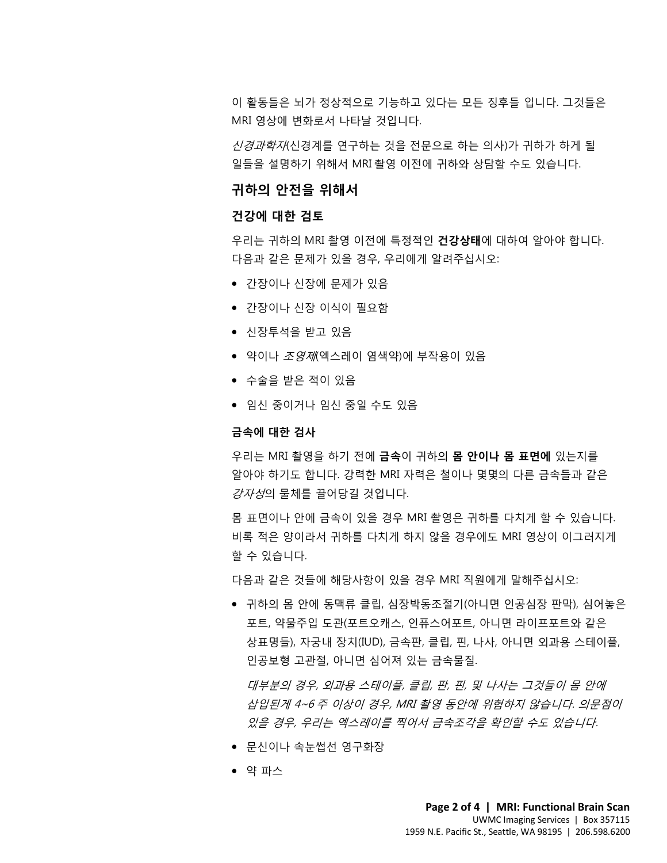이 활동들은 뇌가 정상적으로 기능하고 있다는 모든 징후들 입니다. 그것들은 MRI 영상에 변화로서 나타날 것입니다.

신경과학자(신경계를 연구하는 것을 전문으로 하는 의사)가 귀하가 하게 될 일들을 설명하기 위해서 MRI 촬영 이전에 귀하와 상담할 수도 있습니다.

### **귀하의 안전을 위해서**

### **건강에 대한 검토**

다음과 같은 문제가 있을 경우, 우리에게 알려주십시오:<br>● 간장이나 신장에 문제가 있음<br>● 간장이나 신장 이식이 필요함 우리는 귀하의 MRI 촬영 이전에 특정적인 **건강상태**에 대하여 알아야 합니다. 다음과 같은 문제가 있을 경우, 우리에게 알려주십시오:

- 간장이나 신장에 문제가 있음
- 간장이나 신장 이식이 필요함
- 신장투석을 받고 있음
- 신장투석을 받고 있음<br>● 약이나 *조영제*(엑스레이 염색약)에 부작용이 있음<br>● 수술을 받은 적이 있음<br>● 임신 중이거나 임신 중일 수도 있음<br>**= 음에 대한 검사** ● 약이나 *조영제*(엑스레이 염색약)에 부작용이 있음
	- 수술을 받은 적이 있음
	- 임신 중이거나 임신 중일 수도 있음

#### **금속에 대한 검사**

• 수술을 받은 적이 있음<br>• 임신 중이거나 임신 중일 수도 있음<br>• 임신 중이거나 임신 중일 수도 있음<br>금속**에 대한 검사**<br>우리는 MRI 촬영을 하기 전에 **금속**이 귀하의 **몸 안이나 몸 표면에** 있는지를<br>알아야 하기도 합니다. 강력한 MRI 자력은 철이나 몇몇의 다른 금속들과 같;<br>*가지서*이 무체를 끌어다기 것입니다. 우리는 MRI 촬영을 하기 전에 **금속**이 귀하의 **몸 안이나 몸 표면에** 있는지를 알아야 하기도 합니다. 강력한 MRI 자력은 철이나 몇몇의 다른 금속들과 같은 *강자성*의 물체를 끌어당길 것입니다.

> 몸 표면이나 안에 금속이 있을 경우 MRI 촬영은 귀하를 다치게 할 수 있습니다. 비록 적은 양이라서 귀하를 다치게 하지 않을 경우에도 MRI 영상이 이그러지게 할 수 있습니다.

다음과 같은 것들에 해당사항이 있을 경우 MRI 직원에게 말해주십시오:

• 귀하의 몸 안에 동맥류 클립, 심장박동조절기(아니면 인공심장 판막), 심어놓은 포트, 약물주입 도관(포트오캐스, 인퓨스어포트, 아니면 라이프포트와 같은 상표명들), 자궁내 장치(IUD), 금속판, 클립, 핀, 나사, 아니면 외과용 스테이플, 인공보형 고관절, 아니면 심어져 있는 금속물질.

대부분의 경우, 외과용 스테이플, 클립, 판, 핀, 및 나사는 그것들이 몸 안에 삽입된게 4~6 주 이상이 경우, MRI 촬영 동안에 위험하지 않습니다. 의문점이 있을 경우, 우리는 엑스레이를 찍어서 금속조각을 확인할 수도 있습니다.

• 문신이나 속눈썹선 영구화장

 $\_$  ,  $\_$  ,  $\_$  ,  $\_$  ,  $\_$  ,  $\_$  ,  $\_$  ,  $\_$  ,  $\_$  ,  $\_$  ,  $\_$  ,  $\_$  ,  $\_$  ,  $\_$  ,  $\_$  ,  $\_$  ,  $\_$  ,  $\_$  ,  $\_$  ,  $\_$  ,  $\_$  ,  $\_$  ,  $\_$  ,  $\_$  ,  $\_$  ,  $\_$  ,  $\_$  ,  $\_$  ,  $\_$  ,  $\_$  ,  $\_$  ,  $\_$  ,  $\_$  ,  $\_$  ,  $\_$  ,  $\_$  ,  $\_$  ,

• 약 파스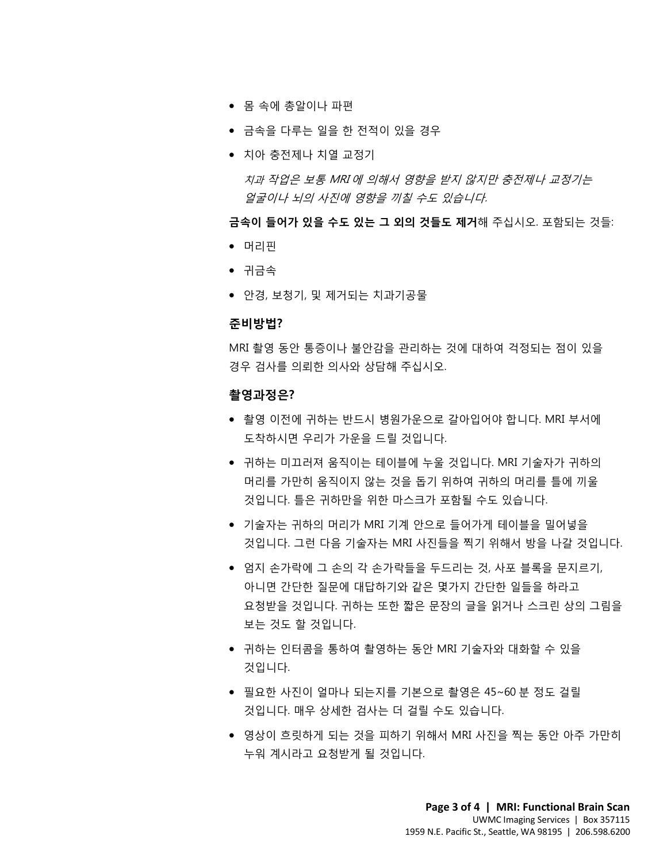- 몸 속에 총알이나 파편
- 금속을 다루는 일을 한 전적이 있을 경우
- 치아 충전제나 치열 교정기

치과 작업은 보통 MRI 에 의해서 영향을 받지 않지만 충전제나 교정기는 얼굴이나 뇌의 사진에 영향을 끼칠 수도 있습니다.

**금속이 들어가 있을 수도 있는 그 외의 것들도 제거**해 주십시오. 포함되는 것들:

- 머리핀
- 귀금속
- 미니늰<br>• 귀금속<br>• 안경, 보청기, 및 제거되는 치과기공물 • 안경, 보청기, 및 제거되는 치과기공물

#### **준비방법?**

**준비방법?**<br>MRI 촬영 동안 통증이나 불안감을 관리하는 것에 대하여 걱정되는 점이 있을<br>경우 검사를 의뢰한 의사와 상담해 주십시오.<br>**촬영과정은?**<br>• 촬영 이전에 귀하는 반드시 병원가운으로 갈아입어야 합니다. MRI 부서에<br>도착하시면 우리가 가운을 드릴 것입니다. MRI 촬영 동안 통증이나 불안감을 관리하는 것에 대하여 걱정되는 점이 있을 경우 검사를 의뢰한 의사와 상담해 주십시오.

### **촬영과정은?**

- 촬영 이전에 귀하는 반드시 병원가운으로 갈아입어야 합니다. MRI 부서에 도착하시면 우리가 가운을 드릴 것입니다.
- 경우 검사를 의뢰한 의사와 상담해 주십시오.<br>**촬영과정은?**<br>• 촬영 이전에 귀하는 반드시 병원가운으로 갈아입어야 합니다. MRI 부서에<br>도착하시면 우리가 가운을 드릴 것입니다.<br>• 귀하는 미끄러져 움직이는 테이블에 누울 것입니다. MRI 기술자가 귀하의<br>머리를 가만히 움직이지 않는 것을 돕기 위하여 귀하의 머리를 틀에 끼울 • 귀하는 미끄러져 움직이는 테이블에 누울 것입니다. MRI 기술자가 귀하의 머리를 가만히 움직이지 않는 것을 돕기 위하여 귀하의 머리를 틀에 끼울 것입니다. 틀은 귀하만을 위한 마스크가 포함될 수도 있습니다.
	- 기술자는 귀하의 머리가 MRI 기계 안으로 들어가게 테이블을 밀어넣을 것입니다. 그런 다음 기술자는 MRI 사진들을 찍기 위해서 방을 나갈 것입니다.
	- 엄지 손가락에 그 손의 각 손가락들을 두드리는 것, 사포 블록을 문지르기, 아니면 간단한 질문에 대답하기와 같은 몇가지 간단한 일들을 하라고 요청받을 것입니다. 귀하는 또한 짧은 문장의 글을 읽거나 스크린 상의 그림을 보는 것도 할 것입니다.
	- 귀하는 인터콤을 통하여 촬영하는 동안 MRI 기술자와 대화할 수 있을 것입니다.
	- 필요한 사진이 얼마나 되는지를 기본으로 촬영은 45~60 분 정도 걸릴 것입니다. 매우 상세한 검사는 더 걸릴 수도 있습니다.

 $\_$  ,  $\_$  ,  $\_$  ,  $\_$  ,  $\_$  ,  $\_$  ,  $\_$  ,  $\_$  ,  $\_$  ,  $\_$  ,  $\_$  ,  $\_$  ,  $\_$  ,  $\_$  ,  $\_$  ,  $\_$  ,  $\_$  ,  $\_$  ,  $\_$  ,  $\_$  ,  $\_$  ,  $\_$  ,  $\_$  ,  $\_$  ,  $\_$  ,  $\_$  ,  $\_$  ,  $\_$  ,  $\_$  ,  $\_$  ,  $\_$  ,  $\_$  ,  $\_$  ,  $\_$  ,  $\_$  ,  $\_$  ,  $\_$  ,

• 영상이 흐릿하게 되는 것을 피하기 위해서 MRI 사진을 찍는 동안 아주 가만히 누워 계시라고 요청받게 될 것입니다.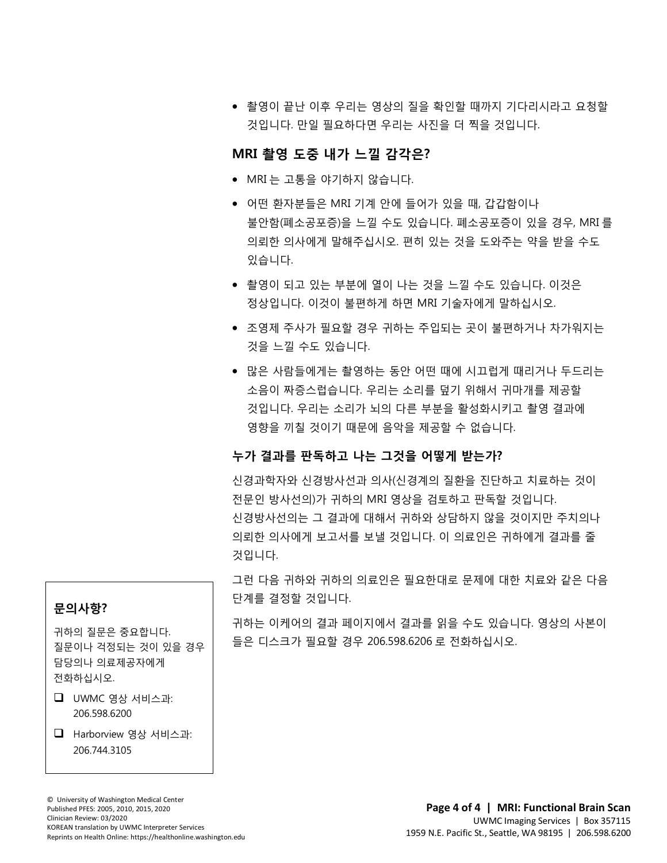• 촬영이 끝난 이후 우리는 영상의 질을 확인할 때까지 기다리시라고 요청할 것입니다. 만일 필요하다면 우리는 사진을 더 찍을 것입니다.

### **MRI 촬영 도중 내가 느낄 감각은?**

- MRI 는 고통을 야기하지 않습니다.
- 어떤 환자분들은 MRI 기계 안에 들어가 있을 때, 갑갑함이나 불안함(폐소공포증)을 느낄 수도 있습니다. 폐소공포증이 있을 경우, MRI 를 의뢰한 의사에게 말해주십시오. 편히 있는 것을 도와주는 약을 받을 수도 있습니다.
- 있습니다.<br>● 촬영이 되고 있는 부분에 열이 나는 것을 느낄 수도 있습니다. 이것은<br>정상입니다. 이것이 불편하게 하면 MRI 기술자에게 말하십시오. • 촬영이 되고 있는 부분에 열이 나는 것을 느낄 수도 있습니다. 이것은 정상입니다. 이것이 불편하게 하면 MRI 기술자에게 말하십시오.
	- 조영제 주사가 필요할 경우 귀하는 주입되는 곳이 불편하거나 차가워지는 것을 느낄 수도 있습니다.
	- 조영제 주사가 필요할 경우 귀하는 주입되는 곳이 불편하거나 차가워지는<br>것을 느낄 수도 있습니다.<br>● 많은 사람들에게는 촬영하는 동안 어떤 때에 시끄럽게 때리거나 두드리는<br>소음이 짜증스럽습니다. 우리는 소리를 덮기 위해서 귀마개를 제공할<br>것입니다. 우리는 소리가 뇌의 다른 부분을 활성화시키고 촬영 결과에<br>것입니다. 우리는 소리가 뇌의 다른 부분을 활성화시키고 촬영 결과에 • 많은 사람들에게는 촬영하는 동안 어떤 때에 시끄럽게 때리거나 두드리는<br>소음이 짜증스럽습니다. 우리는 소리를 덮기 위해서 귀마개를 제공할<br>것입니다. 우리는 소리가 뇌의 다른 부분을 활성화시키고 촬영 결과에<br>영향을 끼칠 것이기 때문에 음악을 제공할 수 없습니다.<br>**누가 결과를 판독하고 나는 그것을 어떻게 받는가?**<br><br>신경과학자와 신경방사선과 의사(신경계의 질환을 진단하고 치료하는 것이 • 많은 사람들에게는 촬영하는 동안 어떤 때에 시끄럽게 때리거나 두드리는 소음이 짜증스럽습니다. 우리는 소리를 덮기 위해서 귀마개를 제공할 것입니다. 우리는 소리가 뇌의 다른 부분을 활성화시키고 촬영 결과에 영향을 끼칠 것이기 때문에 음악을 제공할 수 없습니다.

### **누가 결과를 판독하고 나는 그것을 어떻게 받는가?**

 $\bot$  , and the contribution of the contribution of the contribution of the contribution of the contribution of the contribution of the contribution of the contribution of the contribution of the contribution of the contri

신경과학자와 신경방사선과 의사(신경계의 질환을 진단하고 치료하는 것이 전문인 방사선의)가 귀하의 MRI 영상을 검토하고 판독할 것입니다. 신경방사선의는 그 결과에 대해서 귀하와 상담하지 않을 것이지만 주치의나 의뢰한 의사에게 보고서를 보낼 것입니다. 이 의료인은 귀하에게 결과를 줄 것입니다.

그런 다음 귀하와 귀하의 의료인은 필요한대로 문제에 대한 치료와 같은 다음 단계를 결정할 것입니다.

귀하는 이케어의 결과 페이지에서 결과를 읽을 수도 있습니다. 영상의 사본이 들은 디스크가 필요할 경우 206.598.6206 로 전화하십시오.

### **문의사항?**

귀하의 질문은 중요합니다. 질문이나 걱정되는 것이 있을 경우 담당의나 의료제공자에게 전화하십시오.

### UWMC 영상 서비스과: 206.598.6200

 Harborview 영상 서비스과: 206.744.3105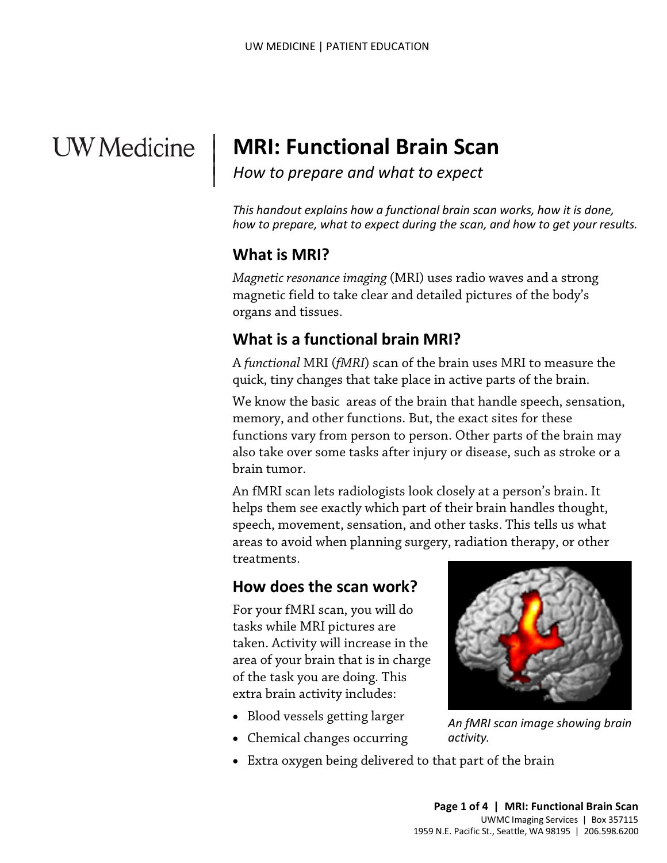# **UW** Medicine

# **MRI: Functional Brain Scan**

*How to prepare and what to expect*

*This handout explains how a functional brain scan works, how it is done, how to prepare, what to expect during the scan, and how to get your results.*

# **What is MRI?**

|  $\vert$  $\vert$  $\vert$ 

> *Magnetic resonance imaging* (MRI) uses radio waves and a strong magnetic field to take clear and detailed pictures of the body's organs and tissues.

# **What is a functional brain MRI?**

A *functional* MRI (*fMRI*) scan of the brain uses MRI to measure the quick, tiny changes that take place in active parts of the brain.

organs and tissues.<br> **What is a functional brain MRI?**<br>
A *functional* MRI (*fMRI*) scan of the brain uses MRI to measure t<br>
quick, tiny changes that take place in active parts of the brain.<br>
We know the basic areas of the We know the basic areas of the brain that handle speech, sensation, memory, and other functions. But, the exact sites for these functions vary from person to person. Other parts of the brain may also take over some tasks after injury or disease, such as [stroke](javascript:glossAry() or a brain tumor.

> An fMRI scan lets [radiologists](javascript:glossAry() look closely at a person's brain. It helps them see exactly which part of their brain handles thought, speech, movement, sensation, and other tasks. This tells us what areas to avoid when planning surgery, [radiation therapy,](javascript:glossAry() or other treatments.

# **How does the scan work?**

For your fMRI scan, you will do tasks while MRI pictures are taken. Activity will increase in the area of your brain that is in charge of the task you are doing. This extra brain activity includes:

- Blood vessels getting larger
- Chemical changes occurring

 $\_$  ,  $\_$  ,  $\_$  ,  $\_$  ,  $\_$  ,  $\_$  ,  $\_$  ,  $\_$  ,  $\_$  ,  $\_$  ,  $\_$  ,  $\_$  ,  $\_$  ,  $\_$  ,  $\_$  ,  $\_$  ,  $\_$  ,  $\_$  ,  $\_$  ,  $\_$  ,  $\_$  ,  $\_$  ,  $\_$  ,  $\_$  ,  $\_$  ,  $\_$  ,  $\_$  ,  $\_$  ,  $\_$  ,  $\_$  ,  $\_$  ,  $\_$  ,  $\_$  ,  $\_$  ,  $\_$  ,  $\_$  ,  $\_$  ,

• Extra oxygen being delivered to that part of the brain



*An fMRI scan image showing brain activity.*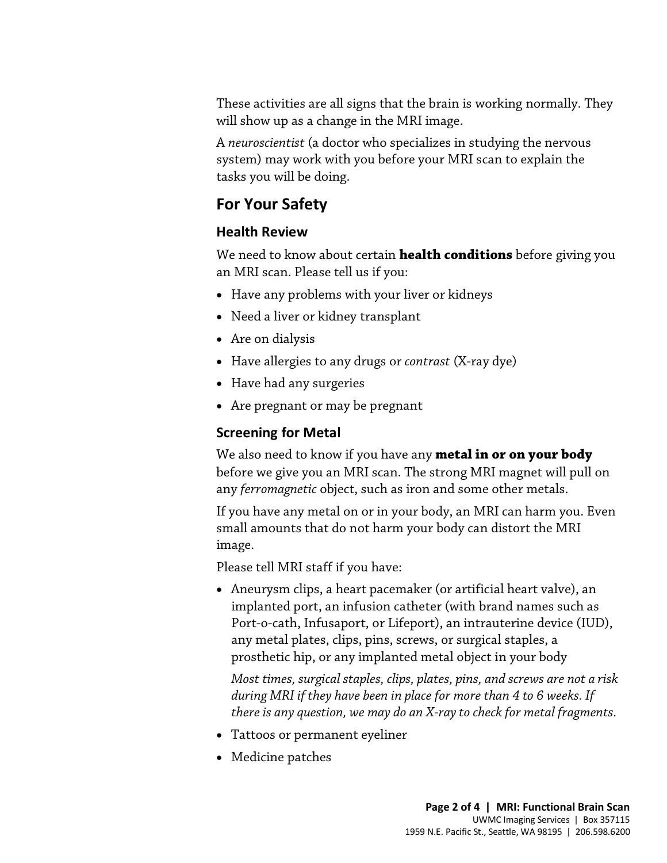These activities are all signs that the brain is working normally. They will show up as a change in the MRI image.

A *neuroscientist* (a doctor who specializes in studying the nervous system) may work with you before your MRI scan to explain the tasks you will be doing.

# **For Your Safety**

### **Health Review**

We need to know about certain **health conditions** before giving you an MRI scan. Please tell us if you:

- Have any problems with your liver or kidneys
- Need a liver or kidney transplant
- Are on dialysis
- Need a liver or kidney transplant<br>
 Are on dialysis<br>
 Have allergies to any drugs or *contrast* (X-ray dye)<br>
 Have had any surgeries<br>
 Are pregnant or may be pregnant<br> **Screening for Metal** • Have allergies to any drugs or *contrast* (X-ray dye)
	- Have had any surgeries
	- Are pregnant or may be pregnant

### **Screening for Metal**

We also need to know if you have any **metal in or on your body** before we give you an MRI scan. The strong MRI magnet will pull on any *ferromagnetic* object, such as iron and some other metals.

If you have any metal on or in your body, an MRI can harm you. Even small amounts that do not harm your body can distort the MRI image.

Please tell MRI staff if you have:

• Aneurysm clips, a heart pacemaker (or artificial heart valve), an implanted port, an infusion catheter (with brand names such as Port-o-cath, Infusaport, or Lifeport), an intrauterine device (IUD), any metal plates, clips, pins, screws, or surgical staples, a prosthetic hip, or any implanted metal object in your body

*Most times, surgical staples, clips, plates, pins, and screws are not a risk during MRI if they have been in place for more than 4 to 6 weeks. If there is any question, we may do an X-ray to check for metal fragments.* 

• Tattoos or permanent eyeliner

 $\bot$  , and the set of the set of the set of the set of the set of the set of the set of the set of the set of the set of the set of the set of the set of the set of the set of the set of the set of the set of the set of t

• Medicine patches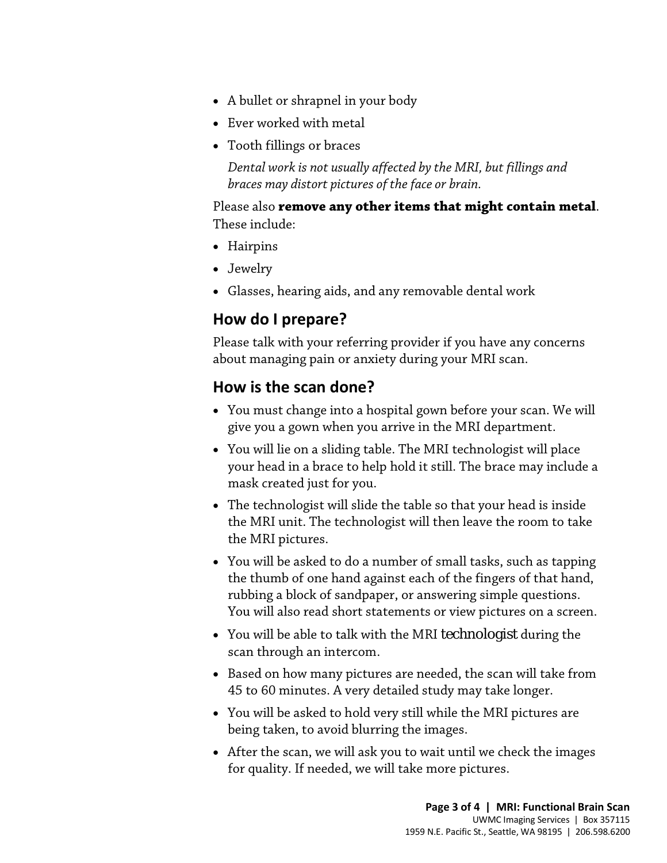- A bullet or shrapnel in your body
- Ever worked with metal
- Tooth fillings or braces

*Dental work is not usually affected by the MRI, but fillings and braces may distort pictures of the face or brain.*

Please also **remove any other items that might contain metal**. These include:

- Hairpins
- Jewelry
- Glasses, hearing aids, and any removable dental work

# **How do I prepare?**

Please talk with your referring provider if you have any concerns about managing pain or anxiety during your MRI scan.

# **How is the scan done?**

- **HOW dO I prepare?**<br>Please talk with your referring provider if you have any concerns<br>about managing pain or anxiety during your MRI scan.<br>**HOW is the scan done?**<br>• You must change into a hospital gown before your scan. We • You must change into a hospital gown before your scan. We will give you a gown when you arrive in the MRI department.
	- You will lie on a sliding table. The MRI technologist will place your head in a brace to help hold it still. The brace may include a mask created just for you.
	- The technologist will slide the table so that your head is inside the MRI unit. The technologist will then leave the room to take the MRI pictures.
	- You will be asked to do a number of small tasks, such as tapping the thumb of one hand against each of the fingers of that hand, rubbing a block of sandpaper, or answering simple questions. You will also read short statements or view pictures on a screen.
	- You will be able to talk with the MRI [technologist](javascript:glossAry() during the scan through an intercom.
	- Based on how many pictures are needed, the scan will take from 45 to 60 minutes. A very detailed study may take longer.
	- You will be asked to hold very still while the MRI pictures are being taken, to avoid blurring the images.

 $\bot$  , and the set of the set of the set of the set of the set of the set of the set of the set of the set of the set of the set of the set of the set of the set of the set of the set of the set of the set of the set of t

• After the scan, we will ask you to wait until we check the images for quality. If needed, we will take more pictures.